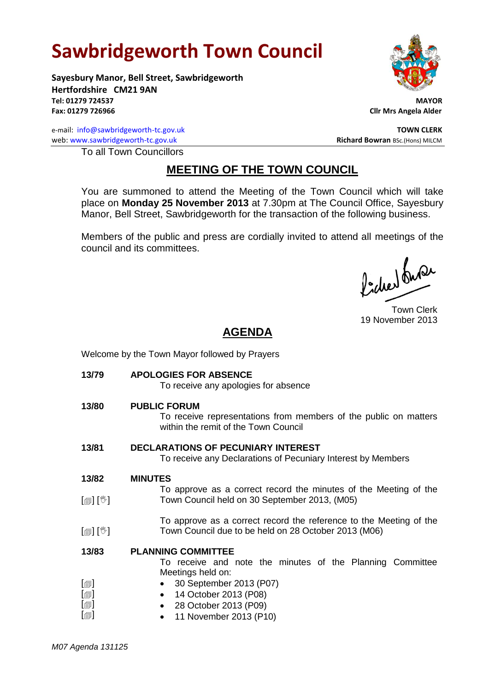# **Sawbridgeworth Town Council**

**Sayesbury Manor, Bell Street, Sawbridgeworth Hertfordshire CM21 9AN Tel: 01279 724537 MAYOR Fax: 01279 726966 Cllr Mrs Angela Alder**

e-mail: [info@sawbridgeworth-tc.gov.uk](mailto:info@sawbridgeworth-tc.gov.uk) **TOWN CLERK** web: www.sawbridgeworth-tc.gov.uk<br> **Richard Bowran** BSc.(Hons) MILCM

To all Town Councillors

## **MEETING OF THE TOWN COUNCIL**

You are summoned to attend the Meeting of the Town Council which will take place on **Monday 25 November 2013** at 7.30pm at The Council Office, Sayesbury Manor, Bell Street, Sawbridgeworth for the transaction of the following business.

Members of the public and press are cordially invited to attend all meetings of the council and its committees.

lacher buse

Town Clerk 19 November 2013

# **AGENDA**

Welcome by the Town Mayor followed by Prayers **13/79 APOLOGIES FOR ABSENCE** To receive any apologies for absence **13/80 PUBLIC FORUM** To receive representations from members of the public on matters within the remit of the Town Council **13/81 DECLARATIONS OF PECUNIARY INTEREST** To receive any Declarations of Pecuniary Interest by Members **13/82**  $\lceil$  [ $\mathbb{I}$ ]  $\lceil \mathbb{V} \rceil$ [創] [<sup>%</sup>] **MINUTES** To approve as a correct record the minutes of the Meeting of the Town Council held on 30 September 2013, (M05) To approve as a correct record the reference to the Meeting of the Town Council due to be held on 28 October 2013 (M06) **13/83**  $\lceil$  $\lceil$  $\blacksquare$  $\lceil$  $\blacksquare$  $[\blacksquare]$ **PLANNING COMMITTEE** To receive and note the minutes of the Planning Committee Meetings held on: 30 September 2013 (P07) • 14 October 2013 (P08) 28 October 2013 (P09) • 11 November 2013 (P10)